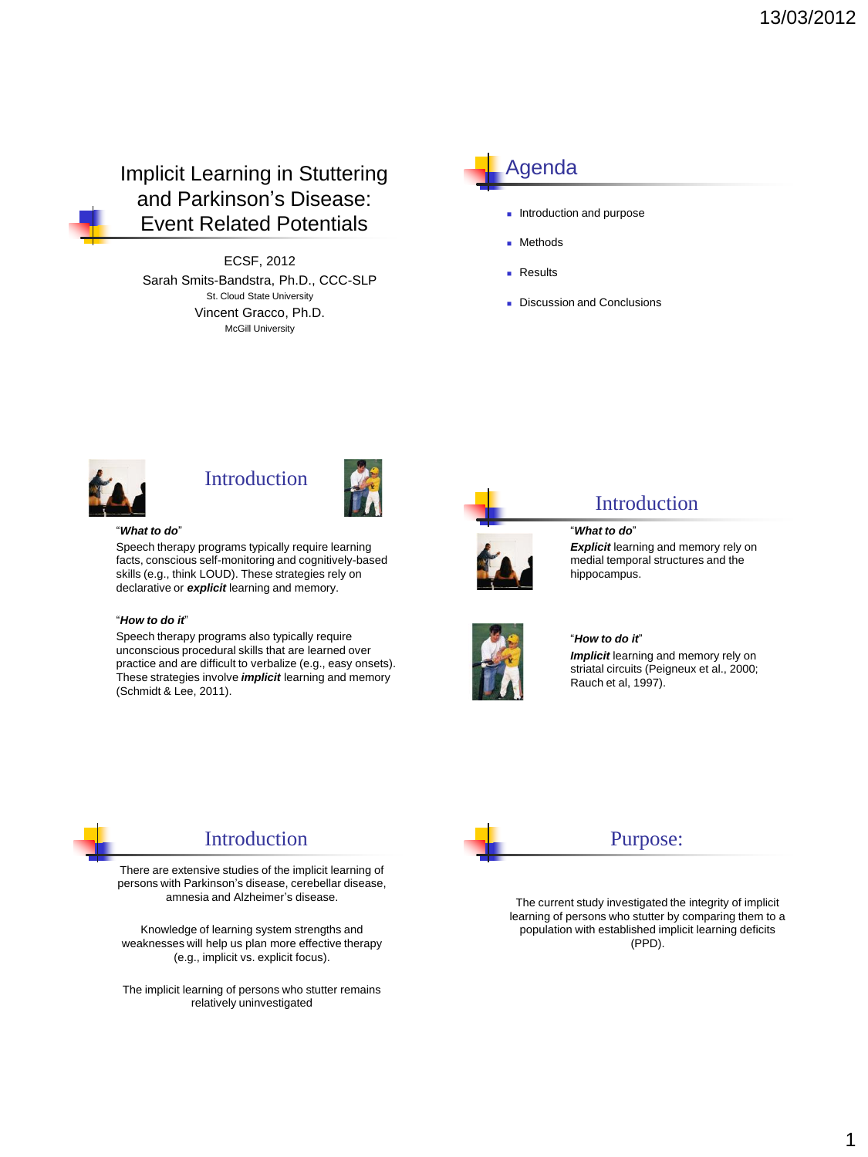Implicit Learning in Stuttering and Parkinson's Disease: Event Related Potentials

ECSF, 2012 Sarah Smits-Bandstra, Ph.D., CCC-SLP St. Cloud State University Vincent Gracco, Ph.D. McGill University

# Agenda

- **Introduction and purpose**
- **Methods**
- **Results**
- Discussion and Conclusions



### Introduction



#### "*What to do*"

Speech therapy programs typically require learning facts, conscious self-monitoring and cognitively-based skills (e.g., think LOUD). These strategies rely on declarative or *explicit* learning and memory.

#### "*How to do it*"

Speech therapy programs also typically require unconscious procedural skills that are learned over practice and are difficult to verbalize (e.g., easy onsets). These strategies involve *implicit* learning and memory (Schmidt & Lee, 2011).

Introduction There are extensive studies of the implicit learning of persons with Parkinson's disease, cerebellar disease, amnesia and Alzheimer's disease.

Knowledge of learning system strengths and weaknesses will help us plan more effective therapy (e.g., implicit vs. explicit focus).

The implicit learning of persons who stutter remains relatively uninvestigated



#### **Introduction**

"*What to do*" **Explicit** learning and memory rely on medial temporal structures and the hippocampus.



#### "*How to do it*"

*Implicit* learning and memory rely on striatal circuits (Peigneux et al., 2000; Rauch et al, 1997).



#### Purpose:

The current study investigated the integrity of implicit learning of persons who stutter by comparing them to a population with established implicit learning deficits (PPD).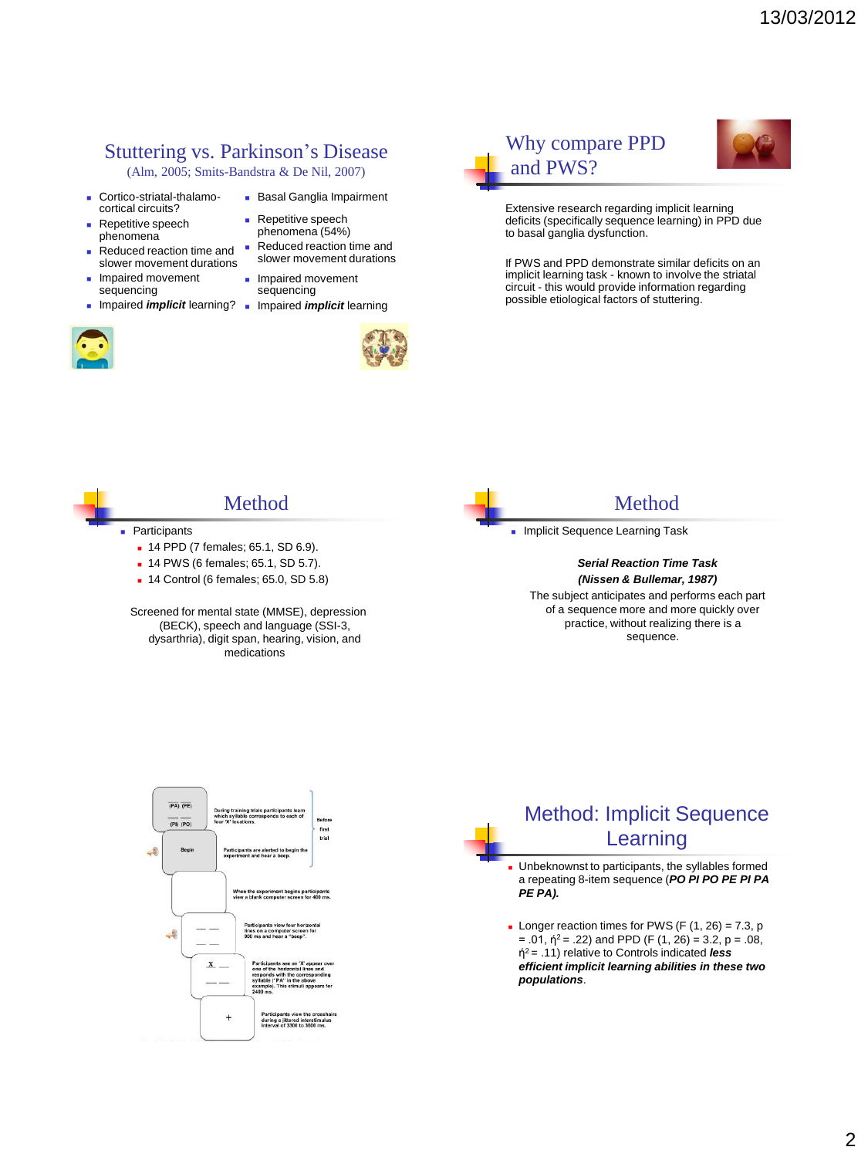# Stuttering vs. Parkinson's Disease

(Alm, 2005; Smits-Bandstra & De Nil, 2007)

- Cortico-striatal-thalamocortical circuits?
- **Repetitive speech** phenomena
- Reduced reaction time and slower movement durations
- **Impaired movement** sequencing
- 



## **Basal Ganglia Impairment**

- **Repetitive speech** phenomena (54%)
- Reduced reaction time and slower movement durations
- **Impaired movement** sequencing
- **Impaired** *implicit* learning? **I** Impaired *implicit* learning







Extensive research regarding implicit learning deficits (specifically sequence learning) in PPD due to basal ganglia dysfunction.

If PWS and PPD demonstrate similar deficits on an implicit learning task - known to involve the striatal circuit - this would provide information regarding possible etiological factors of stuttering.

## Method

- Participants
	- 14 PPD (7 females; 65.1, SD 6.9).
	- 14 PWS (6 females; 65.1, SD 5.7).
	- 14 Control (6 females; 65.0, SD 5.8)

Screened for mental state (MMSE), depression (BECK), speech and language (SSI-3, dysarthria), digit span, hearing, vision, and medications



#### **Method**

Implicit Sequence Learning Task

*Serial Reaction Time Task (Nissen & Bullemar, 1987)*

The subject anticipates and performs each part of a sequence more and more quickly over practice, without realizing there is a sequence.



# Method: Implicit Sequence Learning

 Unbeknownst to participants, the syllables formed a repeating 8-item sequence (*PO PI PO PE PI PA PE PA).*

- Longer reaction times for PWS (F  $(1, 26) = 7.3$ , p  $= .01$ ,  $\dot{\eta}^2 = .22$ ) and PPD (F (1, 26) = 3.2, p = .08, ή <sup>2</sup>= .11) relative to Controls indicated *less efficient implicit learning abilities in these two populations*.